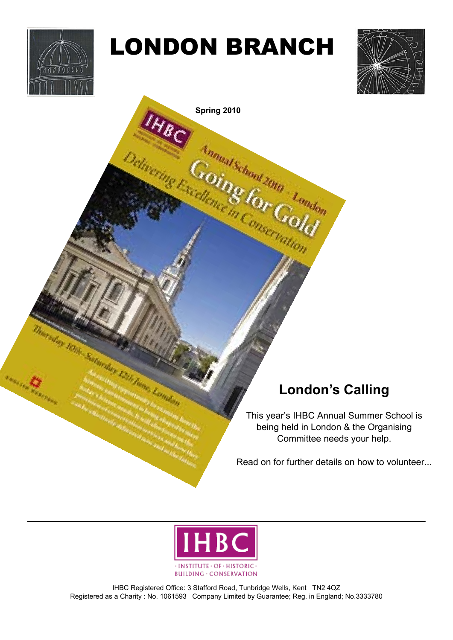

# LONDON BRANCH



**Selivering Excellence in Conservation** 

### **London's Calling**

This year's IHBC Annual Summer School is being held in London & the Organising Committee needs your help.

Read on for further details on how to volunteer...



IHBC Registered Office: 3 Stafford Road, Tunbridge Wells, Kent TN2 4QZ Registered as a Charity : No. 1061593 Company Limited by Guarantee; Reg. in England; No.3333780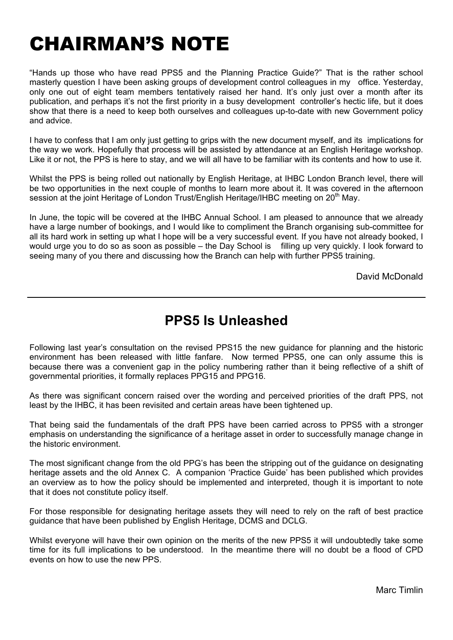## CHAIRMAN'S NOTE

"Hands up those who have read PPS5 and the Planning Practice Guide?" That is the rather school masterly question I have been asking groups of development control colleagues in my office. Yesterday, only one out of eight team members tentatively raised her hand. It's only just over a month after its publication, and perhaps it's not the first priority in a busy development controller's hectic life, but it does show that there is a need to keep both ourselves and colleagues up-to-date with new Government policy and advice.

I have to confess that I am only just getting to grips with the new document myself, and its implications for the way we work. Hopefully that process will be assisted by attendance at an English Heritage workshop. Like it or not, the PPS is here to stay, and we will all have to be familiar with its contents and how to use it.

Whilst the PPS is being rolled out nationally by English Heritage, at IHBC London Branch level, there will be two opportunities in the next couple of months to learn more about it. It was covered in the afternoon session at the joint Heritage of London Trust/English Heritage/IHBC meeting on 20<sup>th</sup> May.

In June, the topic will be covered at the IHBC Annual School. I am pleased to announce that we already have a large number of bookings, and I would like to compliment the Branch organising sub-committee for all its hard work in setting up what I hope will be a very successful event. If you have not already booked, I would urge you to do so as soon as possible – the Day School is filling up very quickly. I look forward to seeing many of you there and discussing how the Branch can help with further PPS5 training.

David McDonald

### **PPS5 Is Unleashed**

Following last year's consultation on the revised PPS15 the new guidance for planning and the historic environment has been released with little fanfare. Now termed PPS5, one can only assume this is because there was a convenient gap in the policy numbering rather than it being reflective of a shift of governmental priorities, it formally replaces PPG15 and PPG16.

As there was significant concern raised over the wording and perceived priorities of the draft PPS, not least by the IHBC, it has been revisited and certain areas have been tightened up.

That being said the fundamentals of the draft PPS have been carried across to PPS5 with a stronger emphasis on understanding the significance of a heritage asset in order to successfully manage change in the historic environment.

The most significant change from the old PPG's has been the stripping out of the guidance on designating heritage assets and the old Annex C. A companion 'Practice Guide' has been published which provides an overview as to how the policy should be implemented and interpreted, though it is important to note that it does not constitute policy itself.

For those responsible for designating heritage assets they will need to rely on the raft of best practice guidance that have been published by English Heritage, DCMS and DCLG.

Whilst everyone will have their own opinion on the merits of the new PPS5 it will undoubtedly take some time for its full implications to be understood. In the meantime there will no doubt be a flood of CPD events on how to use the new PPS.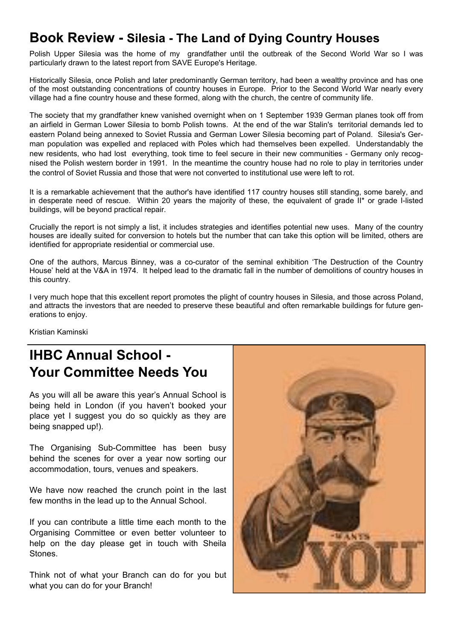### **Book Review - Silesia - The Land of Dying Country Houses**

Polish Upper Silesia was the home of my grandfather until the outbreak of the Second World War so I was particularly drawn to the latest report from SAVE Europe's Heritage.

Historically Silesia, once Polish and later predominantly German territory, had been a wealthy province and has one of the most outstanding concentrations of country houses in Europe. Prior to the Second World War nearly every village had a fine country house and these formed, along with the church, the centre of community life.

The society that my grandfather knew vanished overnight when on 1 September 1939 German planes took off from an airfield in German Lower Silesia to bomb Polish towns. At the end of the war Stalin's territorial demands led to eastern Poland being annexed to Soviet Russia and German Lower Silesia becoming part of Poland. Silesia's German population was expelled and replaced with Poles which had themselves been expelled. Understandably the new residents, who had lost everything, took time to feel secure in their new communities - Germany only recognised the Polish western border in 1991. In the meantime the country house had no role to play in territories under the control of Soviet Russia and those that were not converted to institutional use were left to rot.

It is a remarkable achievement that the author's have identified 117 country houses still standing, some barely, and in desperate need of rescue. Within 20 years the majority of these, the equivalent of grade II\* or grade I-listed buildings, will be beyond practical repair.

Crucially the report is not simply a list, it includes strategies and identifies potential new uses. Many of the country houses are ideally suited for conversion to hotels but the number that can take this option will be limited, others are identified for appropriate residential or commercial use.

One of the authors, Marcus Binney, was a co-curator of the seminal exhibition 'The Destruction of the Country House' held at the V&A in 1974. It helped lead to the dramatic fall in the number of demolitions of country houses in this country.

I very much hope that this excellent report promotes the plight of country houses in Silesia, and those across Poland, and attracts the investors that are needed to preserve these beautiful and often remarkable buildings for future generations to enjoy.

Kristian Kaminski

### **IHBC Annual School - Your Committee Needs You**

As you will all be aware this year's Annual School is being held in London (if you haven't booked your place yet I suggest you do so quickly as they are being snapped up!).

The Organising Sub-Committee has been busy behind the scenes for over a year now sorting our accommodation, tours, venues and speakers.

We have now reached the crunch point in the last few months in the lead up to the Annual School.

If you can contribute a little time each month to the Organising Committee or even better volunteer to help on the day please get in touch with Sheila Stones.

Think not of what your Branch can do for you but what you can do for your Branch!

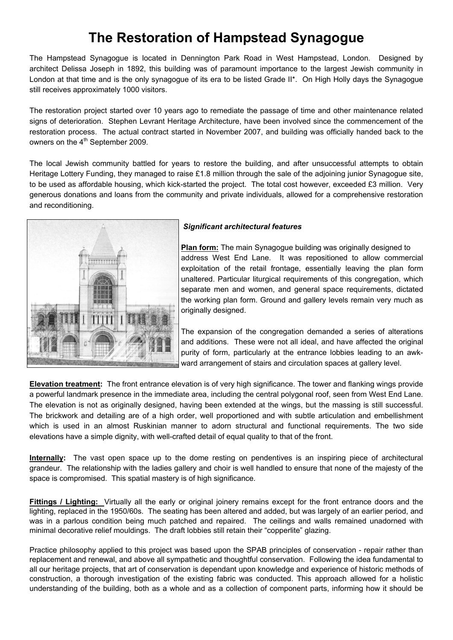### **The Restoration of Hampstead Synagogue**

The Hampstead Synagogue is located in Dennington Park Road in West Hampstead, London. Designed by architect Delissa Joseph in 1892, this building was of paramount importance to the largest Jewish community in London at that time and is the only synagogue of its era to be listed Grade II\*. On High Holly days the Synagogue still receives approximately 1000 visitors.

The restoration project started over 10 years ago to remediate the passage of time and other maintenance related signs of deterioration. Stephen Levrant Heritage Architecture, have been involved since the commencement of the restoration process. The actual contract started in November 2007, and building was officially handed back to the owners on the 4<sup>th</sup> September 2009.

The local Jewish community battled for years to restore the building, and after unsuccessful attempts to obtain Heritage Lottery Funding, they managed to raise £1.8 million through the sale of the adjoining junior Synagogue site, to be used as affordable housing, which kick-started the project. The total cost however, exceeded £3 million. Very generous donations and loans from the community and private individuals, allowed for a comprehensive restoration and reconditioning.



#### *Significant architectural features*

**Plan form:** The main Synagogue building was originally designed to address West End Lane. It was repositioned to allow commercial exploitation of the retail frontage, essentially leaving the plan form unaltered. Particular liturgical requirements of this congregation, which separate men and women, and general space requirements, dictated the working plan form. Ground and gallery levels remain very much as originally designed.

The expansion of the congregation demanded a series of alterations and additions. These were not all ideal, and have affected the original purity of form, particularly at the entrance lobbies leading to an awkward arrangement of stairs and circulation spaces at gallery level.

**Elevation treatment:** The front entrance elevation is of very high significance. The tower and flanking wings provide a powerful landmark presence in the immediate area, including the central polygonal roof, seen from West End Lane. The elevation is not as originally designed, having been extended at the wings, but the massing is still successful. The brickwork and detailing are of a high order, well proportioned and with subtle articulation and embellishment which is used in an almost Ruskinian manner to adorn structural and functional requirements. The two side elevations have a simple dignity, with well-crafted detail of equal quality to that of the front.

**Internally:** The vast open space up to the dome resting on pendentives is an inspiring piece of architectural grandeur. The relationship with the ladies gallery and choir is well handled to ensure that none of the majesty of the space is compromised. This spatial mastery is of high significance.

**Fittings / Lighting:** Virtually all the early or original joinery remains except for the front entrance doors and the lighting, replaced in the 1950/60s. The seating has been altered and added, but was largely of an earlier period, and was in a parlous condition being much patched and repaired. The ceilings and walls remained unadorned with minimal decorative relief mouldings. The draft lobbies still retain their "copperlite" glazing.

Practice philosophy applied to this project was based upon the SPAB principles of conservation - repair rather than replacement and renewal, and above all sympathetic and thoughtful conservation. Following the idea fundamental to all our heritage projects, that art of conservation is dependant upon knowledge and experience of historic methods of construction, a thorough investigation of the existing fabric was conducted. This approach allowed for a holistic understanding of the building, both as a whole and as a collection of component parts, informing how it should be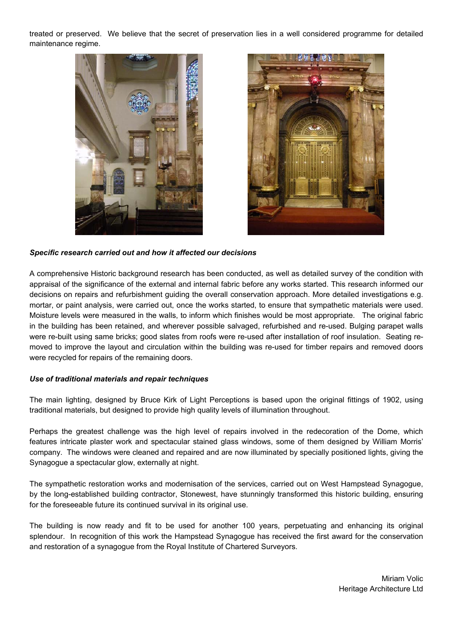treated or preserved. We believe that the secret of preservation lies in a well considered programme for detailed maintenance regime.





#### *Specific research carried out and how it affected our decisions*

A comprehensive Historic background research has been conducted, as well as detailed survey of the condition with appraisal of the significance of the external and internal fabric before any works started. This research informed our decisions on repairs and refurbishment guiding the overall conservation approach. More detailed investigations e.g. mortar, or paint analysis, were carried out, once the works started, to ensure that sympathetic materials were used. Moisture levels were measured in the walls, to inform which finishes would be most appropriate. The original fabric in the building has been retained, and wherever possible salvaged, refurbished and re-used. Bulging parapet walls were re-built using same bricks; good slates from roofs were re-used after installation of roof insulation. Seating removed to improve the layout and circulation within the building was re-used for timber repairs and removed doors were recycled for repairs of the remaining doors.

#### *Use of traditional materials and repair techniques*

The main lighting, designed by Bruce Kirk of Light Perceptions is based upon the original fittings of 1902, using traditional materials, but designed to provide high quality levels of illumination throughout.

Perhaps the greatest challenge was the high level of repairs involved in the redecoration of the Dome, which features intricate plaster work and spectacular stained glass windows, some of them designed by William Morris' company. The windows were cleaned and repaired and are now illuminated by specially positioned lights, giving the Synagogue a spectacular glow, externally at night.

The sympathetic restoration works and modernisation of the services, carried out on West Hampstead Synagogue, by the long-established building contractor, Stonewest, have stunningly transformed this historic building, ensuring for the foreseeable future its continued survival in its original use.

The building is now ready and fit to be used for another 100 years, perpetuating and enhancing its original splendour. In recognition of this work the Hampstead Synagogue has received the first award for the conservation and restoration of a synagogue from the Royal Institute of Chartered Surveyors.

> Miriam Volic Heritage Architecture Ltd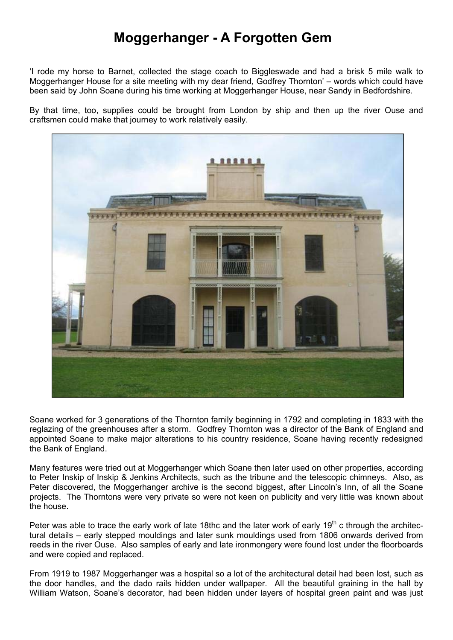### **Moggerhanger - A Forgotten Gem**

'I rode my horse to Barnet, collected the stage coach to Biggleswade and had a brisk 5 mile walk to Moggerhanger House for a site meeting with my dear friend, Godfrey Thornton' – words which could have been said by John Soane during his time working at Moggerhanger House, near Sandy in Bedfordshire.

By that time, too, supplies could be brought from London by ship and then up the river Ouse and craftsmen could make that journey to work relatively easily.



Soane worked for 3 generations of the Thornton family beginning in 1792 and completing in 1833 with the reglazing of the greenhouses after a storm. Godfrey Thornton was a director of the Bank of England and appointed Soane to make major alterations to his country residence, Soane having recently redesigned the Bank of England.

Many features were tried out at Moggerhanger which Soane then later used on other properties, according to Peter Inskip of Inskip & Jenkins Architects, such as the tribune and the telescopic chimneys. Also, as Peter discovered, the Moggerhanger archive is the second biggest, after Lincoln's Inn, of all the Soane projects. The Thorntons were very private so were not keen on publicity and very little was known about the house.

Peter was able to trace the early work of late 18thc and the later work of early 19<sup>th</sup> c through the architectural details – early stepped mouldings and later sunk mouldings used from 1806 onwards derived from reeds in the river Ouse. Also samples of early and late ironmongery were found lost under the floorboards and were copied and replaced.

From 1919 to 1987 Moggerhanger was a hospital so a lot of the architectural detail had been lost, such as the door handles, and the dado rails hidden under wallpaper. All the beautiful graining in the hall by William Watson, Soane's decorator, had been hidden under layers of hospital green paint and was just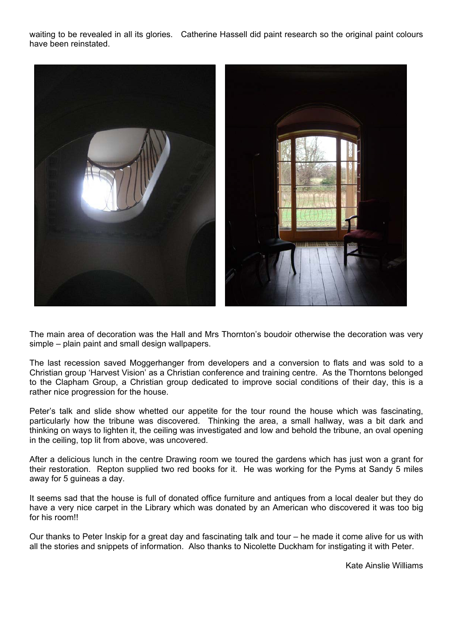waiting to be revealed in all its glories. Catherine Hassell did paint research so the original paint colours have been reinstated.



The main area of decoration was the Hall and Mrs Thornton's boudoir otherwise the decoration was very simple – plain paint and small design wallpapers.

The last recession saved Moggerhanger from developers and a conversion to flats and was sold to a Christian group 'Harvest Vision' as a Christian conference and training centre. As the Thorntons belonged to the Clapham Group, a Christian group dedicated to improve social conditions of their day, this is a rather nice progression for the house.

Peter's talk and slide show whetted our appetite for the tour round the house which was fascinating, particularly how the tribune was discovered. Thinking the area, a small hallway, was a bit dark and thinking on ways to lighten it, the ceiling was investigated and low and behold the tribune, an oval opening in the ceiling, top lit from above, was uncovered.

After a delicious lunch in the centre Drawing room we toured the gardens which has just won a grant for their restoration. Repton supplied two red books for it. He was working for the Pyms at Sandy 5 miles away for 5 guineas a day.

It seems sad that the house is full of donated office furniture and antiques from a local dealer but they do have a very nice carpet in the Library which was donated by an American who discovered it was too big for his room!!

Our thanks to Peter Inskip for a great day and fascinating talk and tour – he made it come alive for us with all the stories and snippets of information. Also thanks to Nicolette Duckham for instigating it with Peter.

Kate Ainslie Williams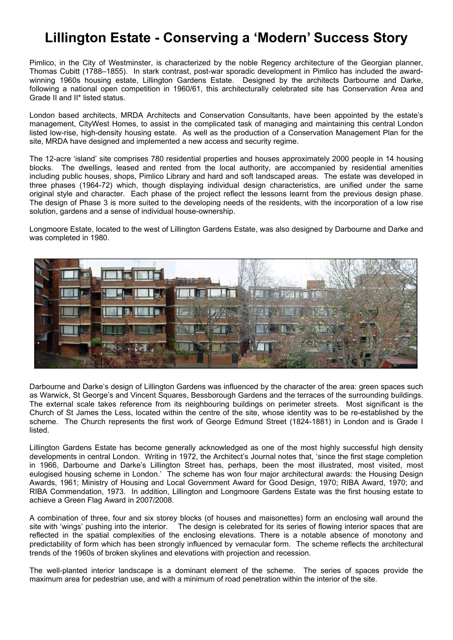### **Lillington Estate - Conserving a 'Modern' Success Story**

Pimlico, in the City of Westminster, is characterized by the noble Regency architecture of the Georgian planner, Thomas Cubitt (1788–1855). In stark contrast, post-war sporadic development in Pimlico has included the awardwinning 1960s housing estate, Lillington Gardens Estate. Designed by the architects Darbourne and Darke, following a national open competition in 1960/61, this architecturally celebrated site has Conservation Area and Grade II and II\* listed status.

London based architects, MRDA Architects and Conservation Consultants, have been appointed by the estate's management, CityWest Homes, to assist in the complicated task of managing and maintaining this central London listed low-rise, high-density housing estate. As well as the production of a Conservation Management Plan for the site, MRDA have designed and implemented a new access and security regime.

The 12-acre 'island' site comprises 780 residential properties and houses approximately 2000 people in 14 housing blocks. The dwellings, leased and rented from the local authority, are accompanied by residential amenities including public houses, shops, Pimlico Library and hard and soft landscaped areas. The estate was developed in three phases (1964-72) which, though displaying individual design characteristics, are unified under the same original style and character. Each phase of the project reflect the lessons learnt from the previous design phase. The design of Phase 3 is more suited to the developing needs of the residents, with the incorporation of a low rise solution, gardens and a sense of individual house-ownership.

Longmoore Estate, located to the west of Lillington Gardens Estate, was also designed by Darbourne and Darke and was completed in 1980.



Darbourne and Darke's design of Lillington Gardens was influenced by the character of the area: green spaces such as Warwick, St George's and Vincent Squares, Bessborough Gardens and the terraces of the surrounding buildings. The external scale takes reference from its neighbouring buildings on perimeter streets. Most significant is the Church of St James the Less, located within the centre of the site, whose identity was to be re-established by the scheme. The Church represents the first work of George Edmund Street (1824-1881) in London and is Grade I listed.

Lillington Gardens Estate has become generally acknowledged as one of the most highly successful high density developments in central London. Writing in 1972, the Architect's Journal notes that, 'since the first stage completion in 1966, Darbourne and Darke's Lillington Street has, perhaps, been the most illustrated, most visited, most eulogised housing scheme in London.' The scheme has won four major architectural awards: the Housing Design Awards, 1961; Ministry of Housing and Local Government Award for Good Design, 1970; RIBA Award, 1970; and RIBA Commendation, 1973. In addition, Lillington and Longmoore Gardens Estate was the first housing estate to achieve a Green Flag Award in 2007/2008.

A combination of three, four and six storey blocks (of houses and maisonettes) form an enclosing wall around the site with 'wings' pushing into the interior. The design is celebrated for its series of flowing interior spaces that are reflected in the spatial complexities of the enclosing elevations. There is a notable absence of monotony and predictability of form which has been strongly influenced by vernacular form. The scheme reflects the architectural trends of the 1960s of broken skylines and elevations with projection and recession.

The well-planted interior landscape is a dominant element of the scheme. The series of spaces provide the maximum area for pedestrian use, and with a minimum of road penetration within the interior of the site.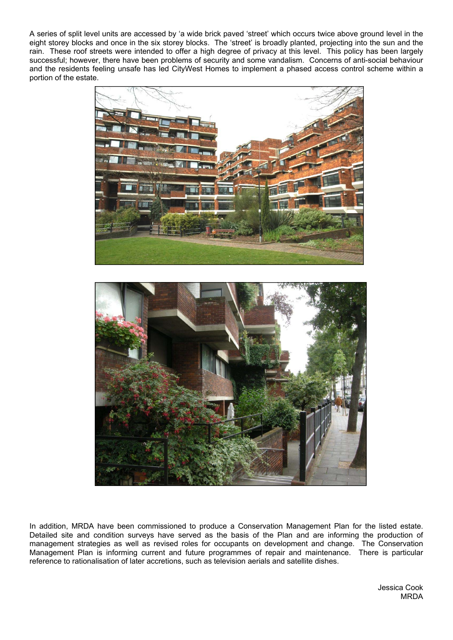A series of split level units are accessed by 'a wide brick paved 'street' which occurs twice above ground level in the eight storey blocks and once in the six storey blocks. The 'street' is broadly planted, projecting into the sun and the rain. These roof streets were intended to offer a high degree of privacy at this level. This policy has been largely successful; however, there have been problems of security and some vandalism. Concerns of anti-social behaviour and the residents feeling unsafe has led CityWest Homes to implement a phased access control scheme within a portion of the estate.





In addition, MRDA have been commissioned to produce a Conservation Management Plan for the listed estate. Detailed site and condition surveys have served as the basis of the Plan and are informing the production of management strategies as well as revised roles for occupants on development and change. The Conservation Management Plan is informing current and future programmes of repair and maintenance. There is particular reference to rationalisation of later accretions, such as television aerials and satellite dishes.

> Jessica Cook MRDA